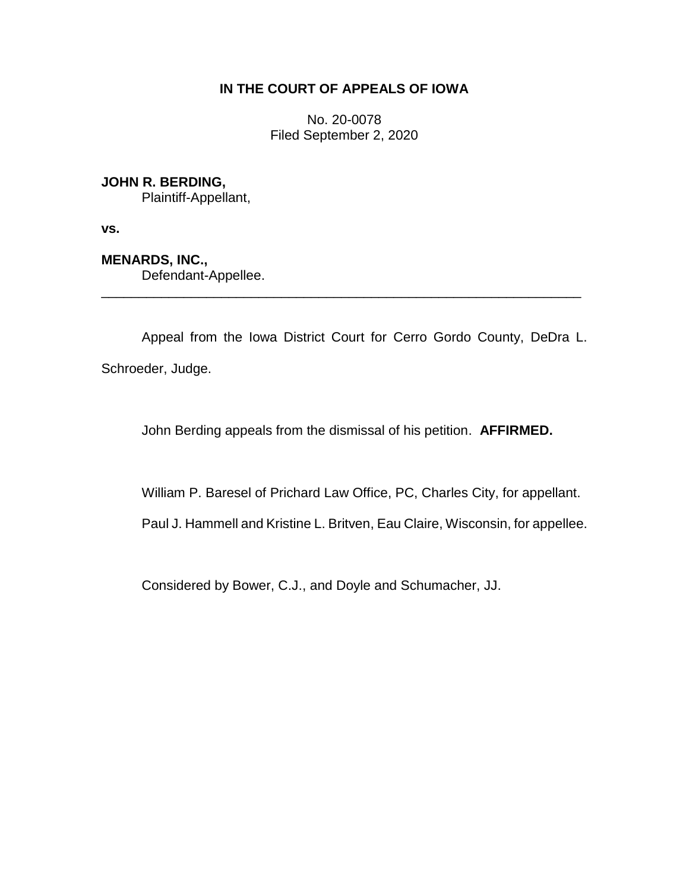# **IN THE COURT OF APPEALS OF IOWA**

No. 20-0078 Filed September 2, 2020

**JOHN R. BERDING,**

Plaintiff-Appellant,

**vs.**

**MENARDS, INC.,**

Defendant-Appellee.

Appeal from the Iowa District Court for Cerro Gordo County, DeDra L. Schroeder, Judge.

\_\_\_\_\_\_\_\_\_\_\_\_\_\_\_\_\_\_\_\_\_\_\_\_\_\_\_\_\_\_\_\_\_\_\_\_\_\_\_\_\_\_\_\_\_\_\_\_\_\_\_\_\_\_\_\_\_\_\_\_\_\_\_\_

John Berding appeals from the dismissal of his petition. **AFFIRMED.**

William P. Baresel of Prichard Law Office, PC, Charles City, for appellant.

Paul J. Hammell and Kristine L. Britven, Eau Claire, Wisconsin, for appellee.

Considered by Bower, C.J., and Doyle and Schumacher, JJ.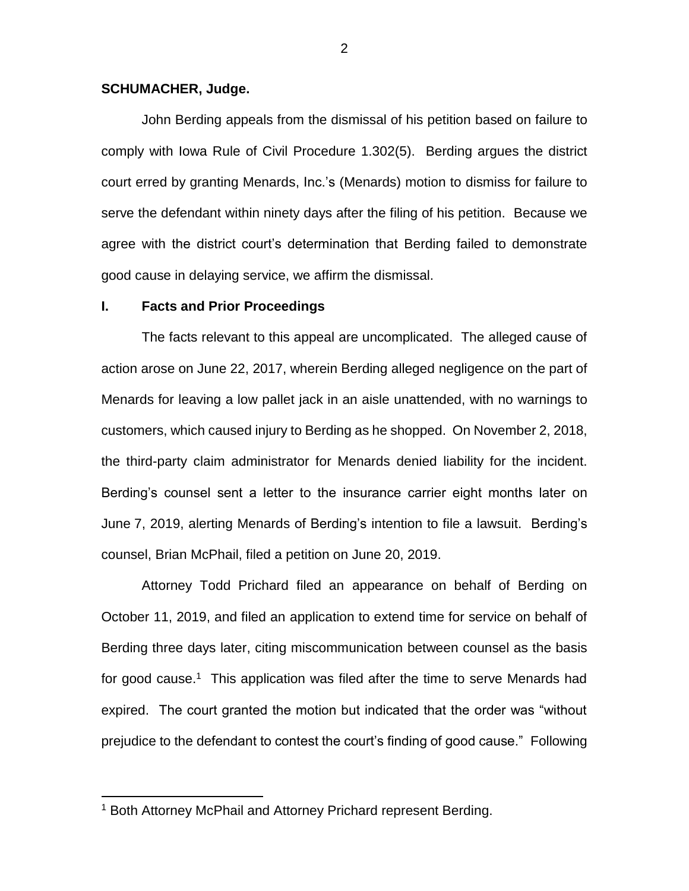### **SCHUMACHER, Judge.**

John Berding appeals from the dismissal of his petition based on failure to comply with Iowa Rule of Civil Procedure 1.302(5). Berding argues the district court erred by granting Menards, Inc.'s (Menards) motion to dismiss for failure to serve the defendant within ninety days after the filing of his petition. Because we agree with the district court's determination that Berding failed to demonstrate good cause in delaying service, we affirm the dismissal.

#### **I. Facts and Prior Proceedings**

The facts relevant to this appeal are uncomplicated. The alleged cause of action arose on June 22, 2017, wherein Berding alleged negligence on the part of Menards for leaving a low pallet jack in an aisle unattended, with no warnings to customers, which caused injury to Berding as he shopped. On November 2, 2018, the third-party claim administrator for Menards denied liability for the incident. Berding's counsel sent a letter to the insurance carrier eight months later on June 7, 2019, alerting Menards of Berding's intention to file a lawsuit. Berding's counsel, Brian McPhail, filed a petition on June 20, 2019.

Attorney Todd Prichard filed an appearance on behalf of Berding on October 11, 2019, and filed an application to extend time for service on behalf of Berding three days later, citing miscommunication between counsel as the basis for good cause.<sup>1</sup> This application was filed after the time to serve Menards had expired. The court granted the motion but indicated that the order was "without prejudice to the defendant to contest the court's finding of good cause." Following

 $\overline{a}$ 

<sup>1</sup> Both Attorney McPhail and Attorney Prichard represent Berding.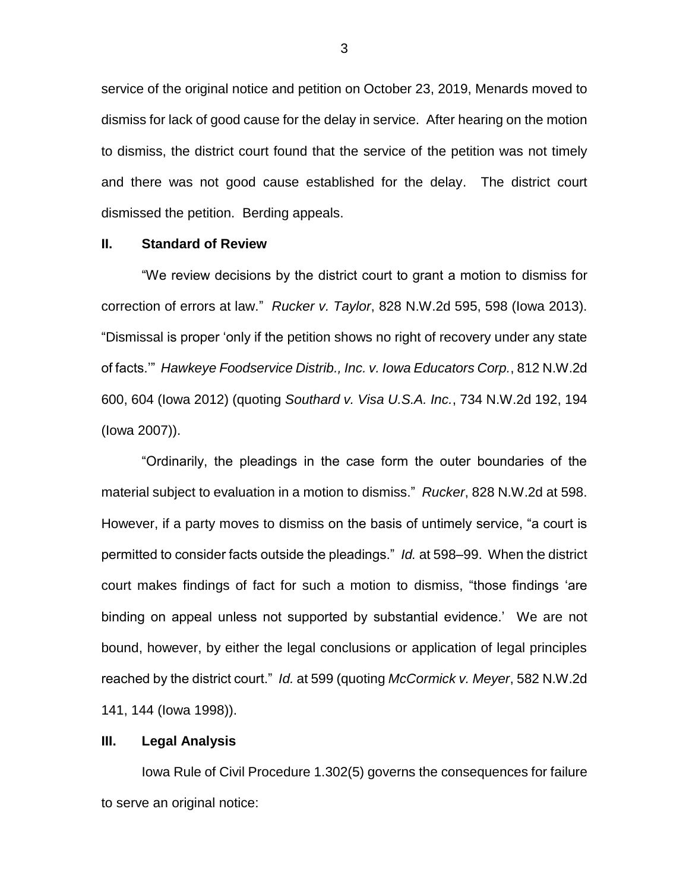service of the original notice and petition on October 23, 2019, Menards moved to dismiss for lack of good cause for the delay in service. After hearing on the motion to dismiss, the district court found that the service of the petition was not timely and there was not good cause established for the delay. The district court dismissed the petition. Berding appeals.

### **II. Standard of Review**

"We review decisions by the district court to grant a motion to dismiss for correction of errors at law." *Rucker v. Taylor*, 828 N.W.2d 595, 598 (Iowa 2013). "Dismissal is proper 'only if the petition shows no right of recovery under any state of facts.'" *Hawkeye Foodservice Distrib., Inc. v. Iowa Educators Corp.*, 812 N.W.2d 600, 604 (Iowa 2012) (quoting *Southard v. Visa U.S.A. Inc.*, 734 N.W.2d 192, 194 (Iowa 2007)).

"Ordinarily, the pleadings in the case form the outer boundaries of the material subject to evaluation in a motion to dismiss." *Rucker*, 828 N.W.2d at 598. However, if a party moves to dismiss on the basis of untimely service, "a court is permitted to consider facts outside the pleadings." *Id.* at 598–99. When the district court makes findings of fact for such a motion to dismiss, "those findings 'are binding on appeal unless not supported by substantial evidence.' We are not bound, however, by either the legal conclusions or application of legal principles reached by the district court." *Id.* at 599 (quoting *McCormick v. Meyer*, 582 N.W.2d 141, 144 (Iowa 1998)).

#### **III. Legal Analysis**

Iowa Rule of Civil Procedure 1.302(5) governs the consequences for failure to serve an original notice: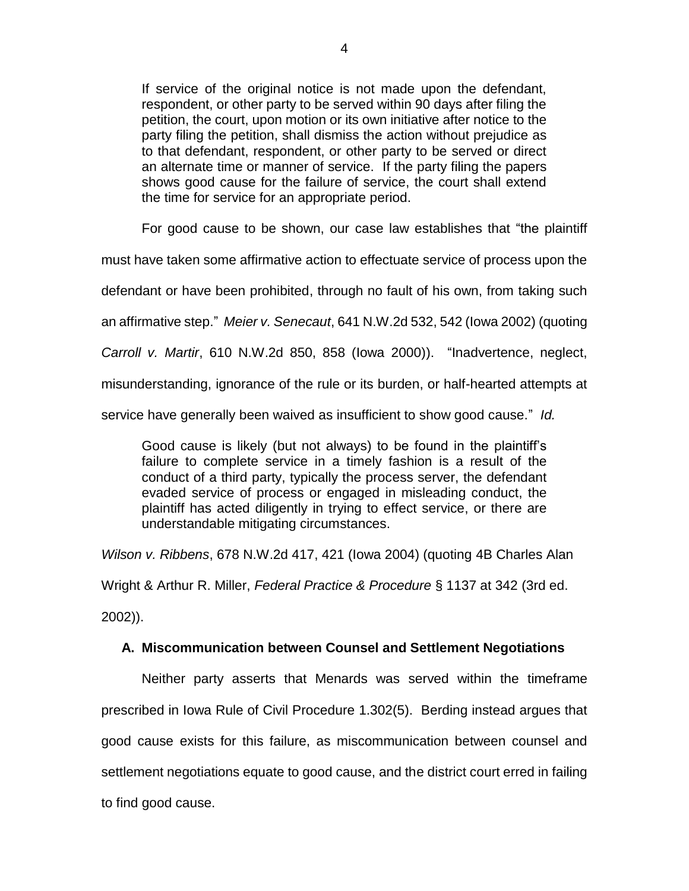If service of the original notice is not made upon the defendant, respondent, or other party to be served within 90 days after filing the petition, the court, upon motion or its own initiative after notice to the party filing the petition, shall dismiss the action without prejudice as to that defendant, respondent, or other party to be served or direct an alternate time or manner of service. If the party filing the papers shows good cause for the failure of service, the court shall extend the time for service for an appropriate period.

For good cause to be shown, our case law establishes that "the plaintiff

must have taken some affirmative action to effectuate service of process upon the

defendant or have been prohibited, through no fault of his own, from taking such

an affirmative step." *Meier v. Senecaut*, 641 N.W.2d 532, 542 (Iowa 2002) (quoting

*Carroll v. Martir*, 610 N.W.2d 850, 858 (Iowa 2000)). "Inadvertence, neglect,

misunderstanding, ignorance of the rule or its burden, or half-hearted attempts at

service have generally been waived as insufficient to show good cause." *Id.*

Good cause is likely (but not always) to be found in the plaintiff's failure to complete service in a timely fashion is a result of the conduct of a third party, typically the process server, the defendant evaded service of process or engaged in misleading conduct, the plaintiff has acted diligently in trying to effect service, or there are understandable mitigating circumstances.

*Wilson v. Ribbens*, 678 N.W.2d 417, 421 (Iowa 2004) (quoting 4B Charles Alan

Wright & Arthur R. Miller, *Federal Practice & Procedure* § 1137 at 342 (3rd ed.

2002)).

# **A. Miscommunication between Counsel and Settlement Negotiations**

Neither party asserts that Menards was served within the timeframe prescribed in Iowa Rule of Civil Procedure 1.302(5). Berding instead argues that good cause exists for this failure, as miscommunication between counsel and settlement negotiations equate to good cause, and the district court erred in failing to find good cause.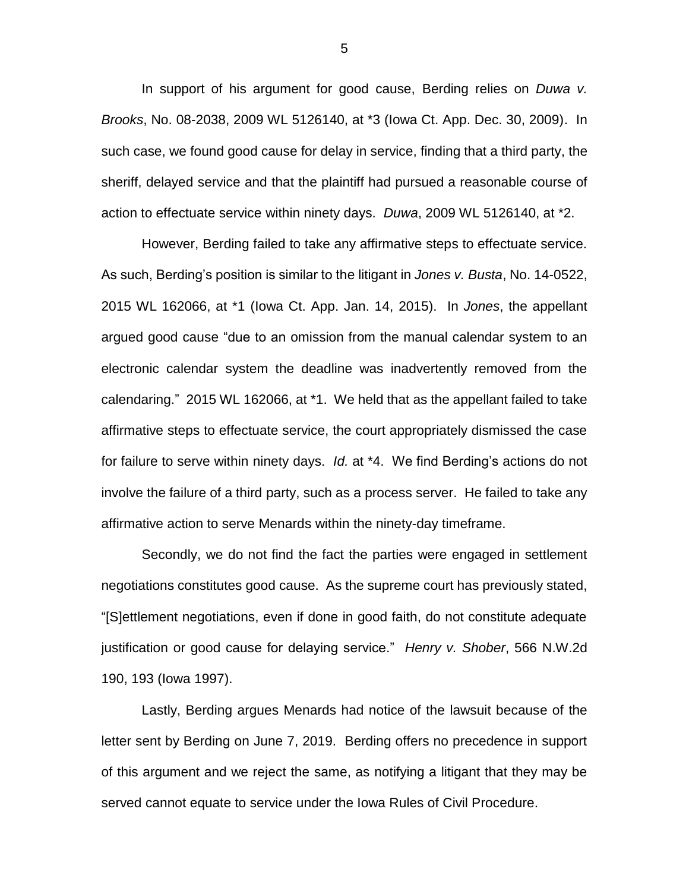In support of his argument for good cause, Berding relies on *Duwa v. Brooks*, No. 08-2038, 2009 WL 5126140, at \*3 (Iowa Ct. App. Dec. 30, 2009). In such case, we found good cause for delay in service, finding that a third party, the sheriff, delayed service and that the plaintiff had pursued a reasonable course of action to effectuate service within ninety days. *Duwa*, 2009 WL 5126140, at \*2.

However, Berding failed to take any affirmative steps to effectuate service. As such, Berding's position is similar to the litigant in *Jones v. Busta*, No. 14-0522, 2015 WL 162066, at \*1 (Iowa Ct. App. Jan. 14, 2015). In *Jones*, the appellant argued good cause "due to an omission from the manual calendar system to an electronic calendar system the deadline was inadvertently removed from the calendaring." 2015 WL 162066, at \*1. We held that as the appellant failed to take affirmative steps to effectuate service, the court appropriately dismissed the case for failure to serve within ninety days. *Id.* at \*4. We find Berding's actions do not involve the failure of a third party, such as a process server. He failed to take any affirmative action to serve Menards within the ninety-day timeframe.

Secondly, we do not find the fact the parties were engaged in settlement negotiations constitutes good cause. As the supreme court has previously stated, "[S]ettlement negotiations, even if done in good faith, do not constitute adequate justification or good cause for delaying service." *Henry v. Shober*, 566 N.W.2d 190, 193 (Iowa 1997).

Lastly, Berding argues Menards had notice of the lawsuit because of the letter sent by Berding on June 7, 2019. Berding offers no precedence in support of this argument and we reject the same, as notifying a litigant that they may be served cannot equate to service under the Iowa Rules of Civil Procedure.

5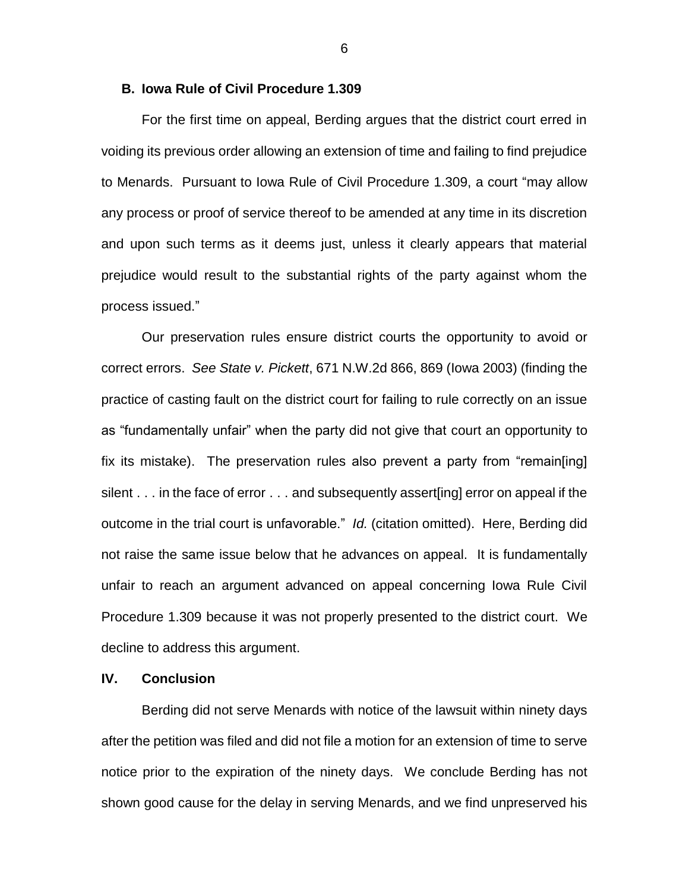#### **B. Iowa Rule of Civil Procedure 1.309**

For the first time on appeal, Berding argues that the district court erred in voiding its previous order allowing an extension of time and failing to find prejudice to Menards. Pursuant to Iowa Rule of Civil Procedure 1.309, a court "may allow any process or proof of service thereof to be amended at any time in its discretion and upon such terms as it deems just, unless it clearly appears that material prejudice would result to the substantial rights of the party against whom the process issued."

Our preservation rules ensure district courts the opportunity to avoid or correct errors. *See State v. Pickett*, 671 N.W.2d 866, 869 (Iowa 2003) (finding the practice of casting fault on the district court for failing to rule correctly on an issue as "fundamentally unfair" when the party did not give that court an opportunity to fix its mistake). The preservation rules also prevent a party from "remain[ing] silent . . . in the face of error . . . and subsequently assert[ing] error on appeal if the outcome in the trial court is unfavorable." *Id.* (citation omitted). Here, Berding did not raise the same issue below that he advances on appeal. It is fundamentally unfair to reach an argument advanced on appeal concerning Iowa Rule Civil Procedure 1.309 because it was not properly presented to the district court. We decline to address this argument.

# **IV. Conclusion**

Berding did not serve Menards with notice of the lawsuit within ninety days after the petition was filed and did not file a motion for an extension of time to serve notice prior to the expiration of the ninety days. We conclude Berding has not shown good cause for the delay in serving Menards, and we find unpreserved his

6